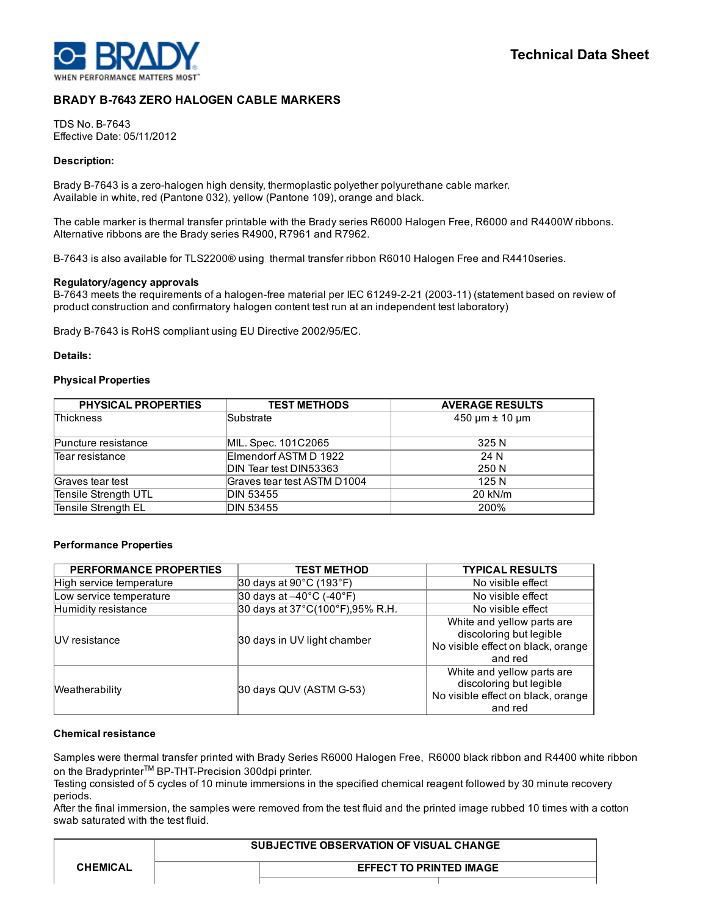

# BRADY B-7643 ZERO HALOGEN CABLE MARKERS

TDS No. B-7643 Effective Date: 05/11/2012

#### Description:

Brady B-7643 is a zero-halogen high density, thermoplastic polyether polyurethane cable marker. Available in white, red (Pantone 032), yellow (Pantone 109), orange and black.

The cable marker is thermal transfer printable with the Brady series R6000 Halogen Free, R6000 and R4400W ribbons. Alternative ribbons are the Brady series R4900, R7961 and R7962.

B-7643 is also available for TLS2200® using thermal transfer ribbon R6010 Halogen Free and R4410series.

#### Regulatory/agency approvals

B-7643 meets the requirements of a halogen-free material per IEC 61249-2-21 (2003-11) (statement based on review of product construction and confirmatory halogen content test run at an independent test laboratory)

Brady B-7643 is RoHS compliant using EU Directive 2002/95/EC.

#### Details:

#### Physical Properties

| <b>PHYSICAL PROPERTIES</b> | <b>TEST METHODS</b>         | <b>AVERAGE RESULTS</b>   |  |
|----------------------------|-----------------------------|--------------------------|--|
| <b>Thickness</b>           | Substrate                   | $450 \mu m \pm 10 \mu m$ |  |
| Puncture resistance        | MIL. Spec. 101C2065         | 325 N                    |  |
| Tear resistance            | Elmendorf ASTM D 1922       | 24 N                     |  |
|                            | DIN Tear test DIN53363      | 250 N                    |  |
| Graves tear test           | Graves tear test ASTM D1004 | 125 N                    |  |
| Tensile Strength UTL       | DIN 53455                   | 20 kN/m                  |  |
| Tensile Strength EL        | <b>DIN 53455</b>            | 200%                     |  |

## Performance Properties

| <b>PERFORMANCE PROPERTIES</b> | <b>TEST METHOD</b>                            | <b>TYPICAL RESULTS</b>                                                                                 |  |
|-------------------------------|-----------------------------------------------|--------------------------------------------------------------------------------------------------------|--|
| High service temperature      | 30 days at 90°C (193°F)                       | No visible effect                                                                                      |  |
| Low service temperature       | 30 days at $-40^{\circ}$ C (-40 $^{\circ}$ F) | No visible effect                                                                                      |  |
| Humidity resistance           | 30 days at 37°C(100°F), 95% R.H.              | No visible effect                                                                                      |  |
| <b>IUV</b> resistance         | 30 days in UV light chamber                   | White and yellow parts are<br>discoloring but legible<br>No visible effect on black, orange<br>and red |  |
| Weatherability                | 30 days QUV (ASTM G-53)                       | White and yellow parts are<br>discoloring but legible<br>No visible effect on black, orange<br>and red |  |

## Chemical resistance

Samples were thermal transfer printed with Brady Series R6000 Halogen Free, R6000 black ribbon and R4400 white ribbon on the Bradyprinter<sup>™</sup> BP-THT-Precision 300dpi printer.

Testing consisted of 5 cycles of 10 minute immersions in the specified chemical reagent followed by 30 minute recovery periods.

After the final immersion, the samples were removed from the test fluid and the printed image rubbed 10 times with a cotton swab saturated with the test fluid.

| <b>CHEMICAL</b> | <b>SUBJECTIVE OBSERVATION OF VISUAL CHANGE</b> |  |
|-----------------|------------------------------------------------|--|
|                 | <b>EFFECT TO PRINTED IMAGE</b>                 |  |
|                 |                                                |  |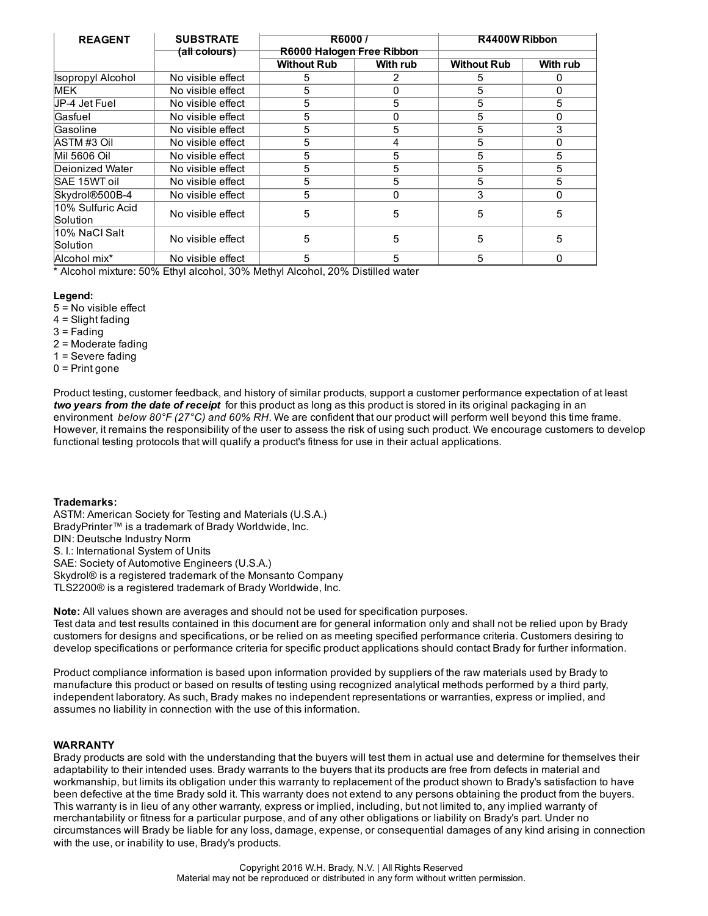| <b>REAGENT</b>     | <b>SUBSTRATE</b><br><b>R60007</b> |                           |              | R4400W Ribbon      |          |
|--------------------|-----------------------------------|---------------------------|--------------|--------------------|----------|
|                    | (all colours)                     | R6000 Halogen Free Ribbon |              |                    |          |
|                    |                                   | <b>Without Rub</b>        | With rub     | <b>Without Rub</b> | With rub |
| Isopropyl Alcohol  | No visible effect                 | 5                         |              | 5                  | 0        |
| <b>MEK</b>         | No visible effect                 | 5                         | O            | 5                  | 0        |
| UP-4 Jet Fuel      | No visible effect                 | 5                         | 5            | 5                  | 5        |
| Gasfuel            | No visible effect                 | 5                         | ŋ            | 5                  | O        |
| lGasoline          | No visible effect                 | 5                         | 5            | 5                  | 3        |
| IASTM #3 Oil       | No visible effect                 | 5                         | 4            | 5                  | 0        |
| Mil 5606 Oil       | No visible effect                 | 5                         | 5            | 5                  | 5        |
| Deionized Water    | No visible effect                 | 5                         | 5            | 5                  | 5        |
| SAE 15WT oil       | No visible effect                 | 5                         | 5            | 5                  | 5        |
| Skydrol®500B-4     | No visible effect                 | 5                         | <sup>0</sup> | 3                  | O        |
| l10% Sulfuric Acid |                                   | 5                         | 5            | 5                  | 5        |
| Solution           | No visible effect                 |                           |              |                    |          |
| l10% NaCl Salt     | No visible effect                 | 5                         | 5            | 5                  | 5        |
| Solution           |                                   |                           |              |                    |          |
| Alcohol mix*       | No visible effect                 | 5                         | 5            | 5                  | 0        |

\* Alcohol mixture: 50% Ethyl alcohol, 30% Methyl Alcohol, 20% Distilled water

# Legend:

- 5 = No visible effect
- 4 = Slight fading
- 3 = Fading
- 2 = Moderate fading
- 1 = Severe fading
- 0 = Print gone

Product testing, customer feedback, and history of similar products, support a customer performance expectation of at least *two years from the date of receipt* for this product as long as this product is stored in its original packaging in an environment *below 80°F (27°C) and 60% RH*. We are confident that our product will perform well beyond this time frame. However, it remains the responsibility of the user to assess the risk of using such product. We encourage customers to develop functional testing protocols that will qualify a product's fitness for use in their actual applications.

## Trademarks:

ASTM: American Society for Testing and Materials (U.S.A.) BradyPrinter™ is a trademark of Brady Worldwide, Inc. DIN: Deutsche Industry Norm S. I.: International System of Units SAE: Society of Automotive Engineers (U.S.A.) Skydrol® is a registered trademark of the Monsanto Company TLS2200® is a registered trademark of Brady Worldwide, Inc.

Note: All values shown are averages and should not be used for specification purposes. Test data and test results contained in this document are for general information only and shall not be relied upon by Brady customers for designs and specifications, or be relied on as meeting specified performance criteria. Customers desiring to develop specifications or performance criteria for specific product applications should contact Brady for further information.

Product compliance information is based upon information provided by suppliers of the raw materials used by Brady to manufacture this product or based on results of testing using recognized analytical methods performed by a third party, independent laboratory. As such, Brady makes no independent representations or warranties, express or implied, and assumes no liability in connection with the use of this information.

## WARRANTY

Brady products are sold with the understanding that the buyers will test them in actual use and determine for themselves their adaptability to their intended uses. Brady warrants to the buyers that its products are free from defects in material and workmanship, but limits its obligation under this warranty to replacement of the product shown to Brady's satisfaction to have been defective at the time Brady sold it. This warranty does not extend to any persons obtaining the product from the buyers. This warranty is in lieu of any other warranty, express or implied, including, but not limited to, any implied warranty of merchantability or fitness for a particular purpose, and of any other obligations or liability on Brady's part. Under no circumstances will Brady be liable for any loss, damage, expense, or consequential damages of any kind arising in connection with the use, or inability to use, Brady's products.